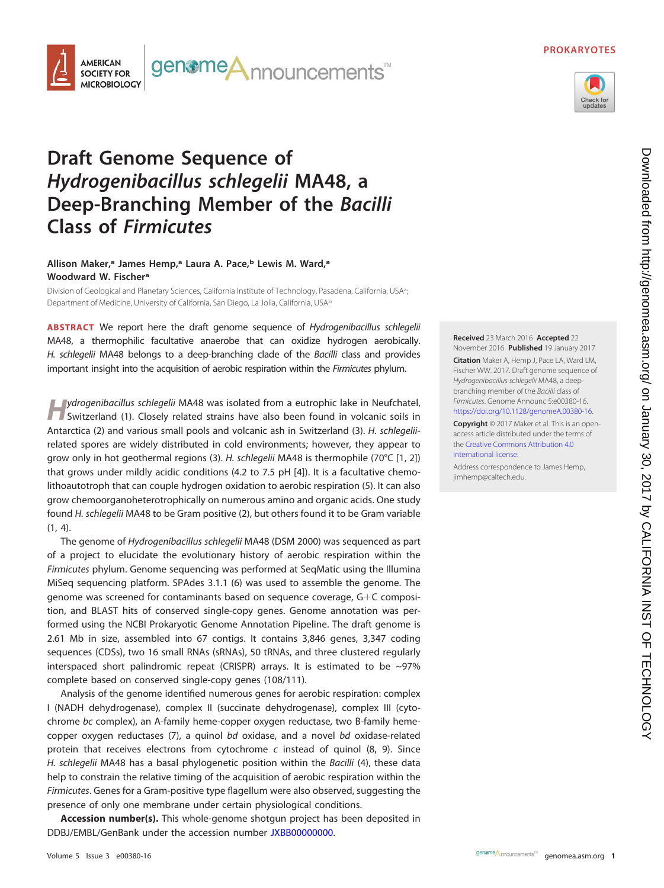### **PROKARYOTES**





# **Draft Genome Sequence of Hydrogenibacillus schlegelii MA48, a Deep-Branching Member of the Bacilli Class of Firmicutes**

## **Allison Maker,a James Hemp,a Laura A. Pace,b Lewis M. Ward,a Woodward W. Fischera**

Division of Geological and Planetary Sciences, California Institute of Technology, Pasadena, California, USA<sup>a</sup>; ; Department of Medicine, University of California, San Diego, La Jolla, California, USAb

**ABSTRACT** We report here the draft genome sequence of Hydrogenibacillus schlegelii MA48, a thermophilic facultative anaerobe that can oxidize hydrogen aerobically. H. schlegelii MA48 belongs to a deep-branching clade of the Bacilli class and provides important insight into the acquisition of aerobic respiration within the Firmicutes phylum.

*H*ydrogenibacillus schlegelii MA48 was isolated from a eutrophic lake in Neufchatel, Switzerland [\(1\)](#page-1-0). Closely related strains have also been found in volcanic soils in Antarctica [\(2\)](#page-1-1) and various small pools and volcanic ash in Switzerland [\(3\)](#page-1-2). H. schlegeliirelated spores are widely distributed in cold environments; however, they appear to grow only in hot geothermal regions [\(3\)](#page-1-2). H. schlegelii MA48 is thermophile (70°C [\[1,](#page-1-0) [2\]](#page-1-1)) that grows under mildly acidic conditions (4.2 to 7.5 pH [\[4\]](#page-1-3)). It is a facultative chemolithoautotroph that can couple hydrogen oxidation to aerobic respiration [\(5\)](#page-1-4). It can also grow chemoorganoheterotrophically on numerous amino and organic acids. One study found H. schlegelii MA48 to be Gram positive [\(2\)](#page-1-1), but others found it to be Gram variable [\(1,](#page-1-0) [4\)](#page-1-3).

The genome of Hydrogenibacillus schlegelii MA48 (DSM 2000) was sequenced as part of a project to elucidate the evolutionary history of aerobic respiration within the Firmicutes phylum. Genome sequencing was performed at SeqMatic using the Illumina MiSeq sequencing platform. SPAdes 3.1.1 [\(6\)](#page-1-5) was used to assemble the genome. The genome was screened for contaminants based on sequence coverage, G-C composition, and BLAST hits of conserved single-copy genes. Genome annotation was performed using the NCBI Prokaryotic Genome Annotation Pipeline. The draft genome is 2.61 Mb in size, assembled into 67 contigs. It contains 3,846 genes, 3,347 coding sequences (CDSs), two 16 small RNAs (sRNAs), 50 tRNAs, and three clustered regularly interspaced short palindromic repeat (CRISPR) arrays. It is estimated to be ~97% complete based on conserved single-copy genes (108/111).

Analysis of the genome identified numerous genes for aerobic respiration: complex I (NADH dehydrogenase), complex II (succinate dehydrogenase), complex III (cytochrome bc complex), an A-family heme-copper oxygen reductase, two B-family hemecopper oxygen reductases [\(7\)](#page-1-6), a quinol bd oxidase, and a novel bd oxidase-related protein that receives electrons from cytochrome  $c$  instead of quinol [\(8,](#page-1-7) [9\)](#page-1-8). Since H. schlegelii MA48 has a basal phylogenetic position within the Bacilli [\(4\)](#page-1-3), these data help to constrain the relative timing of the acquisition of aerobic respiration within the Firmicutes. Genes for a Gram-positive type flagellum were also observed, suggesting the presence of only one membrane under certain physiological conditions.

**Accession number(s).** This whole-genome shotgun project has been deposited in DDBJ/EMBL/GenBank under the accession number [JXBB00000000.](https://www.ncbi.nlm.nih.gov/nuccore/JXBB00000000)

**Received** 23 March 2016 **Accepted** 22 November 2016 **Published** 19 January 2017

**Citation** Maker A, Hemp J, Pace LA, Ward LM, Fischer WW. 2017. Draft genome sequence of Hydrogenibacillus schlegelii MA48, a deepbranching member of the Bacilli class of Firmicutes. Genome Announc 5:e00380-16. [https://doi.org/10.1128/genomeA.00380-16.](https://doi.org/10.1128/genomeA.00380-16)

**Copyright** © 2017 Maker et al. This is an openaccess article distributed under the terms of the [Creative Commons Attribution 4.0](http://creativecommons.org/licenses/by/4.0/) [International](http://creativecommons.org/licenses/by/4.0/) license.

Address correspondence to James Hemp, [jimhemp@caltech.edu.](mailto:jimhemp@caltech.edu)